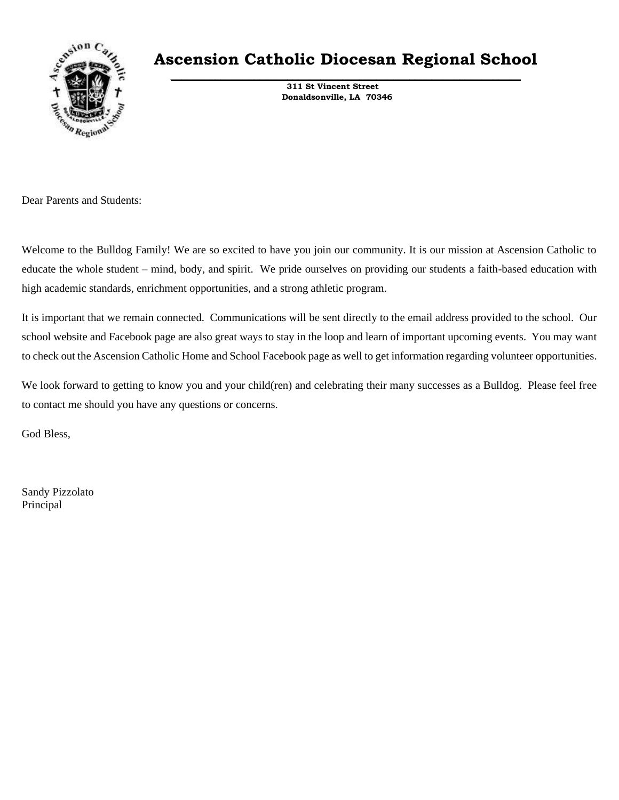

### **Ascension Catholic Diocesan Regional School \_\_\_\_\_\_\_\_\_\_\_\_\_\_\_\_\_\_\_\_\_\_\_\_\_\_\_\_\_\_\_\_\_\_\_\_\_\_\_\_\_\_\_\_\_\_\_\_\_\_\_\_\_\_\_\_\_\_\_\_\_\_\_**

 **311 St Vincent Street Donaldsonville, LA 70346**

Dear Parents and Students:

Welcome to the Bulldog Family! We are so excited to have you join our community. It is our mission at Ascension Catholic to educate the whole student – mind, body, and spirit. We pride ourselves on providing our students a faith-based education with high academic standards, enrichment opportunities, and a strong athletic program.

It is important that we remain connected. Communications will be sent directly to the email address provided to the school. Our school website and Facebook page are also great ways to stay in the loop and learn of important upcoming events. You may want to check out the Ascension Catholic Home and School Facebook page as well to get information regarding volunteer opportunities.

We look forward to getting to know you and your child(ren) and celebrating their many successes as a Bulldog. Please feel free to contact me should you have any questions or concerns.

God Bless,

Sandy Pizzolato Principal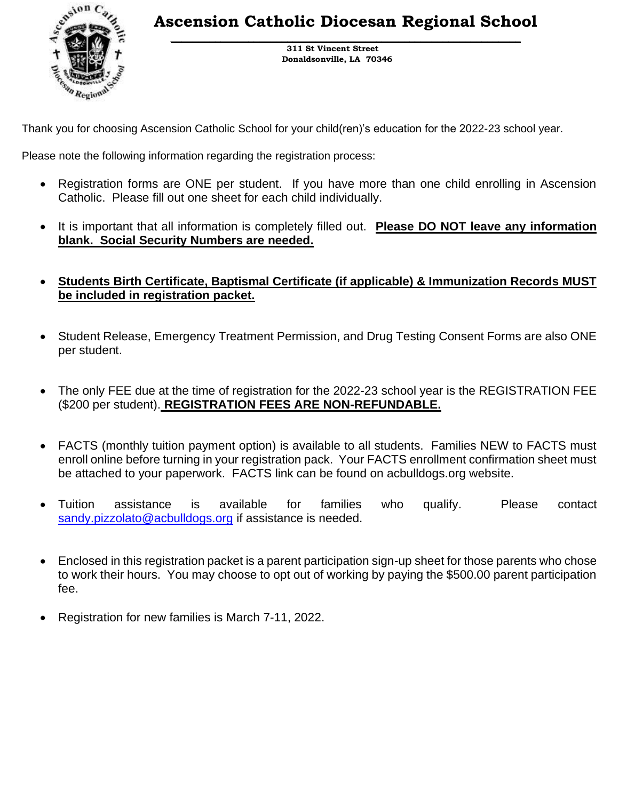**Ascension Catholic Diocesan Regional School \_\_\_\_\_\_\_\_\_\_\_\_\_\_\_\_\_\_\_\_\_\_\_\_\_\_\_\_\_\_\_\_\_\_\_\_\_\_\_\_\_\_\_\_\_\_\_\_\_\_\_\_\_\_\_\_\_\_\_\_\_\_\_**



 **311 St Vincent Street Donaldsonville, LA 70346**

Thank you for choosing Ascension Catholic School for your child(ren)'s education for the 2022-23 school year.

Please note the following information regarding the registration process:

- Registration forms are ONE per student. If you have more than one child enrolling in Ascension Catholic. Please fill out one sheet for each child individually.
- It is important that all information is completely filled out. **Please DO NOT leave any information blank. Social Security Numbers are needed.**
- **Students Birth Certificate, Baptismal Certificate (if applicable) & Immunization Records MUST be included in registration packet.**
- Student Release, Emergency Treatment Permission, and Drug Testing Consent Forms are also ONE per student.
- The only FEE due at the time of registration for the 2022-23 school year is the REGISTRATION FEE (\$200 per student). **REGISTRATION FEES ARE NON-REFUNDABLE.**
- FACTS (monthly tuition payment option) is available to all students. Families NEW to FACTS must enroll online before turning in your registration pack. Your FACTS enrollment confirmation sheet must be attached to your paperwork. FACTS link can be found on acbulldogs.org website.
- Tuition assistance is available for families who qualify. Please contact [sandy.pizzolato@acbulldogs.org](mailto:sandy.pizzolato@acbulldogs.org) if assistance is needed.
- Enclosed in this registration packet is a parent participation sign-up sheet for those parents who chose to work their hours. You may choose to opt out of working by paying the \$500.00 parent participation fee.
- Registration for new families is March 7-11, 2022.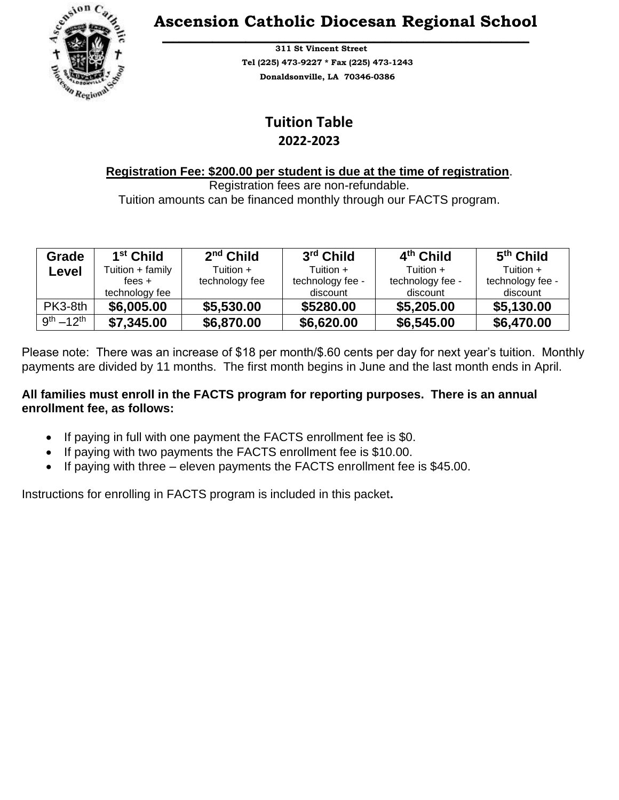

### **Ascension Catholic Diocesan Regional School \_\_\_\_\_\_\_\_\_\_\_\_\_\_\_\_\_\_\_\_\_\_\_\_\_\_\_\_\_\_\_\_\_\_\_\_\_\_\_\_\_\_\_\_\_\_\_\_\_\_\_\_\_\_\_\_\_\_\_\_\_\_\_\_\_\_**

 **311 St Vincent Street Tel (225) 473-9227 \* Fax (225) 473-1243 Donaldsonville, LA 70346-0386**

### **Tuition Table 2022-2023**

#### **Registration Fee: \$200.00 per student is due at the time of registration**.

Registration fees are non-refundable. Tuition amounts can be financed monthly through our FACTS program.

| Grade              | 1 <sup>st</sup> Child | $2nd$ Child    | 3rd Child        | 4 <sup>th</sup> Child | 5 <sup>th</sup> Child |
|--------------------|-----------------------|----------------|------------------|-----------------------|-----------------------|
| Level              | Tuition + family      | Tuition +      | Tuition +        | Tuition +             | Tuition +             |
|                    | fees $+$              | technology fee | technology fee - | technology fee -      | technology fee -      |
|                    | technology fee        |                | discount         | discount              | discount              |
| PK3-8th            | \$6,005.00            | \$5,530.00     | \$5280.00        | \$5,205.00            | \$5,130.00            |
| $9^{th} - 12^{th}$ | \$7,345.00            | \$6,870.00     | \$6,620.00       | \$6,545.00            | \$6,470.00            |

Please note: There was an increase of \$18 per month/\$.60 cents per day for next year's tuition. Monthly payments are divided by 11 months. The first month begins in June and the last month ends in April.

#### **All families must enroll in the FACTS program for reporting purposes. There is an annual enrollment fee, as follows:**

- If paying in full with one payment the FACTS enrollment fee is \$0.
- If paying with two payments the FACTS enrollment fee is \$10.00.
- If paying with three eleven payments the FACTS enrollment fee is \$45.00.

Instructions for enrolling in FACTS program is included in this packet**.**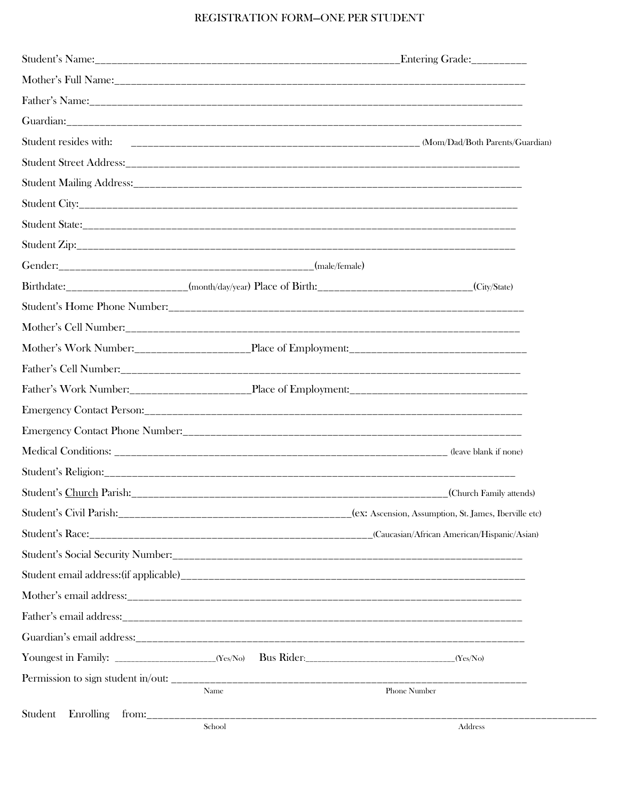#### REGISTRATION FORM-ONE PER STUDENT

|                                          |        | Entering Grade:                                                                                          |
|------------------------------------------|--------|----------------------------------------------------------------------------------------------------------|
|                                          |        |                                                                                                          |
|                                          |        |                                                                                                          |
|                                          |        |                                                                                                          |
| Student resides with:                    |        |                                                                                                          |
|                                          |        |                                                                                                          |
|                                          |        |                                                                                                          |
|                                          |        |                                                                                                          |
|                                          |        |                                                                                                          |
|                                          |        |                                                                                                          |
|                                          |        |                                                                                                          |
|                                          |        | Birthdate: _____________________(month/day/year) Place of Birth: ___________________________(City/State) |
|                                          |        |                                                                                                          |
|                                          |        |                                                                                                          |
|                                          |        |                                                                                                          |
|                                          |        |                                                                                                          |
|                                          |        |                                                                                                          |
|                                          |        |                                                                                                          |
|                                          |        |                                                                                                          |
|                                          |        |                                                                                                          |
|                                          |        |                                                                                                          |
|                                          |        |                                                                                                          |
|                                          |        |                                                                                                          |
|                                          |        |                                                                                                          |
|                                          |        |                                                                                                          |
|                                          |        |                                                                                                          |
|                                          |        |                                                                                                          |
|                                          |        |                                                                                                          |
|                                          |        |                                                                                                          |
|                                          |        |                                                                                                          |
|                                          |        |                                                                                                          |
|                                          | Name   | Phone Number                                                                                             |
| Enrolling<br>Student<br>from:___________ | School | Address                                                                                                  |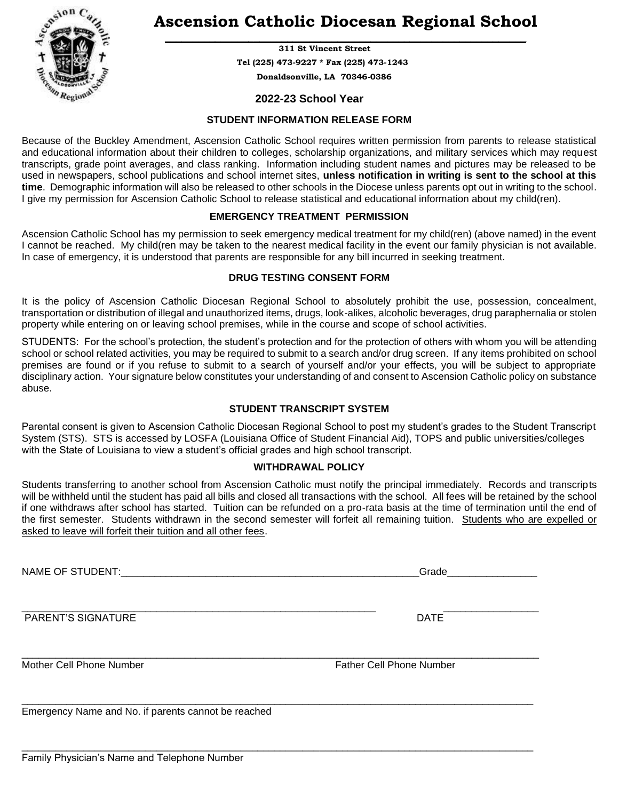

### **Ascension Catholic Diocesan Regional School \_\_\_\_\_\_\_\_\_\_\_\_\_\_\_\_\_\_\_\_\_\_\_\_\_\_\_\_\_\_\_\_\_\_\_\_\_\_\_\_\_\_\_\_\_\_\_\_\_\_\_\_\_\_\_\_\_\_\_\_\_\_\_\_\_**

 **311 St Vincent Street Tel (225) 473-9227 \* Fax (225) 473-1243 Donaldsonville, LA 70346-0386**

#### **2022-23 School Year**

#### **STUDENT INFORMATION RELEASE FORM**

Because of the Buckley Amendment, Ascension Catholic School requires written permission from parents to release statistical and educational information about their children to colleges, scholarship organizations, and military services which may request transcripts, grade point averages, and class ranking. Information including student names and pictures may be released to be used in newspapers, school publications and school internet sites, **unless notification in writing is sent to the school at this time**. Demographic information will also be released to other schools in the Diocese unless parents opt out in writing to the school. I give my permission for Ascension Catholic School to release statistical and educational information about my child(ren).

#### **EMERGENCY TREATMENT PERMISSION**

Ascension Catholic School has my permission to seek emergency medical treatment for my child(ren) (above named) in the event I cannot be reached. My child(ren may be taken to the nearest medical facility in the event our family physician is not available. In case of emergency, it is understood that parents are responsible for any bill incurred in seeking treatment.

#### **DRUG TESTING CONSENT FORM**

It is the policy of Ascension Catholic Diocesan Regional School to absolutely prohibit the use, possession, concealment, transportation or distribution of illegal and unauthorized items, drugs, look-alikes, alcoholic beverages, drug paraphernalia or stolen property while entering on or leaving school premises, while in the course and scope of school activities.

STUDENTS: For the school's protection, the student's protection and for the protection of others with whom you will be attending school or school related activities, you may be required to submit to a search and/or drug screen. If any items prohibited on school premises are found or if you refuse to submit to a search of yourself and/or your effects, you will be subject to appropriate disciplinary action. Your signature below constitutes your understanding of and consent to Ascension Catholic policy on substance abuse.

#### **STUDENT TRANSCRIPT SYSTEM**

Parental consent is given to Ascension Catholic Diocesan Regional School to post my student's grades to the Student Transcript System (STS). STS is accessed by LOSFA (Louisiana Office of Student Financial Aid), TOPS and public universities/colleges with the State of Louisiana to view a student's official grades and high school transcript.

#### **WITHDRAWAL POLICY**

Students transferring to another school from Ascension Catholic must notify the principal immediately. Records and transcripts will be withheld until the student has paid all bills and closed all transactions with the school. All fees will be retained by the school if one withdraws after school has started. Tuition can be refunded on a pro-rata basis at the time of termination until the end of the first semester. Students withdrawn in the second semester will forfeit all remaining tuition. Students who are expelled or asked to leave will forfeit their tuition and all other fees.

\_\_\_\_\_\_\_\_\_\_\_\_\_\_\_\_\_\_\_\_\_\_\_\_\_\_\_\_\_\_\_\_\_\_\_\_\_\_\_\_\_\_\_\_\_\_\_\_\_\_\_\_\_\_\_\_\_\_\_\_\_\_\_\_\_\_\_\_\_\_\_\_\_\_\_\_\_\_\_\_\_\_\_\_\_\_\_\_\_\_\_

NAME OF STUDENT: THE SUBSECTED STATE OF STUDENT:

\_\_\_\_\_\_\_\_\_\_\_\_\_\_\_\_\_\_\_\_\_\_\_\_\_\_\_\_\_\_\_\_\_\_\_\_\_\_\_\_\_\_\_\_\_\_\_\_\_\_\_\_\_\_\_\_\_\_\_\_\_\_\_ \_\_\_\_\_\_\_\_\_\_\_\_\_\_\_\_\_ PARENT'S SIGNATURE **DATE** 

\_\_\_\_\_\_\_\_\_\_\_\_\_\_\_\_\_\_\_\_\_\_\_\_\_\_\_\_\_\_\_\_\_\_\_\_\_\_\_\_\_\_\_\_\_\_\_\_\_\_\_\_\_\_\_\_\_\_\_\_\_\_\_\_\_\_\_\_\_\_\_\_\_\_\_\_\_\_\_\_\_\_\_\_\_\_\_\_\_\_\_\_ Mother Cell Phone Number **Father Cell Phone Number** Father Cell Phone Number

\_\_\_\_\_\_\_\_\_\_\_\_\_\_\_\_\_\_\_\_\_\_\_\_\_\_\_\_\_\_\_\_\_\_\_\_\_\_\_\_\_\_\_\_\_\_\_\_\_\_\_\_\_\_\_\_\_\_\_\_\_\_\_\_\_\_\_\_\_\_\_\_\_\_\_\_\_\_\_\_\_\_\_\_\_\_\_\_\_\_\_ Emergency Name and No. if parents cannot be reached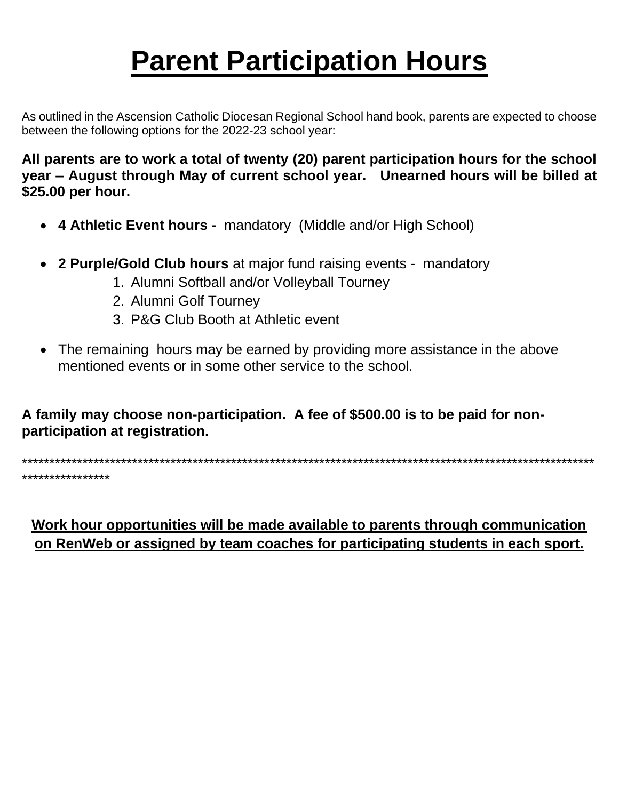# **Parent Participation Hours**

As outlined in the Ascension Catholic Diocesan Regional School hand book, parents are expected to choose between the following options for the 2022-23 school year:

All parents are to work a total of twenty (20) parent participation hours for the school year - August through May of current school year. Unearned hours will be billed at \$25.00 per hour.

- 4 Athletic Event hours mandatory (Middle and/or High School)
- 2 Purple/Gold Club hours at major fund raising events mandatory
	- 1. Alumni Softball and/or Volleyball Tourney
	- 2. Alumni Golf Tourney
	- 3. P&G Club Booth at Athletic event
- The remaining hours may be earned by providing more assistance in the above mentioned events or in some other service to the school

A family may choose non-participation. A fee of \$500.00 is to be paid for nonparticipation at registration.

\*\*\*\*\*\*\*\*\*\*\*\*\*\*\*\*

Work hour opportunities will be made available to parents through communication on RenWeb or assigned by team coaches for participating students in each sport.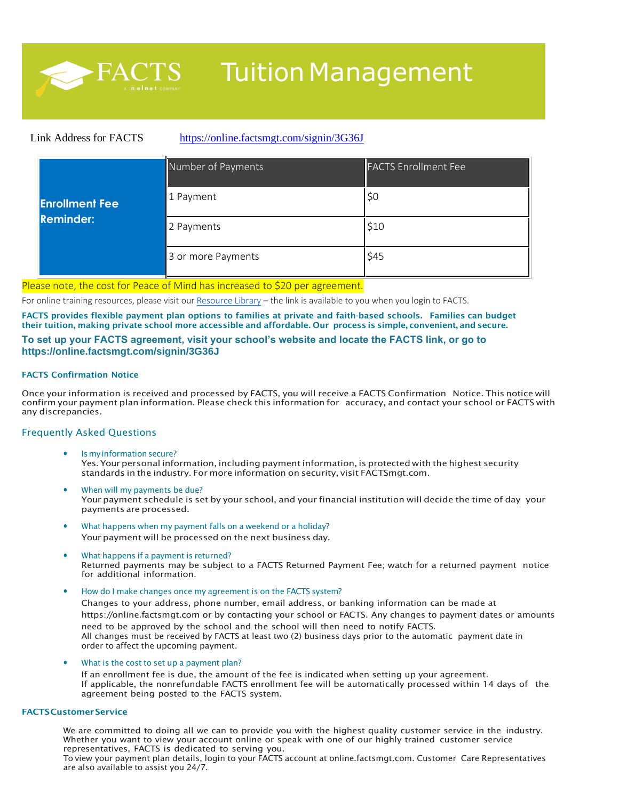

## Tuition Management

#### Link Address for FACTS <https://online.factsmgt.com/signin/3G36J>

|                       | Number of Payments | <b>FACTS Enrollment Fee</b> |
|-----------------------|--------------------|-----------------------------|
| <b>Enrollment Fee</b> | 1 Payment          | \$0                         |
| <b>Reminder:</b>      | 2 Payments         | \$10                        |
|                       | 3 or more Payments | \$45                        |

#### Please note, the cost for Peace of Mind has increased to \$20 per agreement.

For online training resources, please visit our [Resource Library](http://resources.factsmgt.com/) - the link is available to you when you login to FACTS.

**FACTS provides flexible payment plan options to families at private and faith-based schools. Families can budget** their tuition, making private school more accessible and affordable. Our process is simple, convenient, and secure.

#### **To set up your FACTS agreement, visit your school's website and locate the FACTS link, or go to https://online.factsmgt.com/signin/3G36J**

#### **FACTS Confirmation Notice**

Once your information is received and processed by FACTS, you will receive a FACTS Confirmation Notice. This notice will confirm your payment plan information. Please check this information for accuracy, and contact your school or FACTS with any discrepancies.

#### Frequently Asked Questions

- Is my information secure? Yes. Your personal information, including payment information, is protected with the highest security standards in the industry. For more information on security, visit FACTSmgt.com.
- When will my payments be due? Your payment schedule is set by your school, and your financial institution will decide the time of day your payments are processed.
- What happens when my payment falls on a weekend or a holiday? Your payment will be processed on the next business day.
- What happens if a payment is returned? Returned payments may be subject to a FACTS Returned Payment Fee; watch for a returned payment notice for additional information.
- How do I make changes once my agreement is on the FACTS system?

Changes to your address, phone number, email address, or banking information can be made at https://online.factsmgt.com or by contacting your school or FACTS. Any changes to payment dates or amounts need to be approved by the school and the school will then need to notify FACTS. All changes must be received by FACTS at least two (2) business days prior to the automatic payment date in order to affect the upcoming payment.

• What is the cost to set up a payment plan?

If an enrollment fee is due, the amount of the fee is indicated when setting up your agreement. If applicable, the nonrefundable FACTS enrollment fee will be automatically processed within 14 days of the agreement being posted to the FACTS system.

#### **FACTSCustomerService**

We are committed to doing all we can to provide you with the highest quality customer service in the industry. Whether you want to view your account online or speak with one of our highly trained customer service representatives, FACTS is dedicated to serving you.

To view your payment plan details, login to your FACTS account at [online.factsmgt.com.](https://online.factsmgt.com/SignIn.aspx?ReturnUrl=%2f) Customer Care Representatives are also available to assist you 24/7.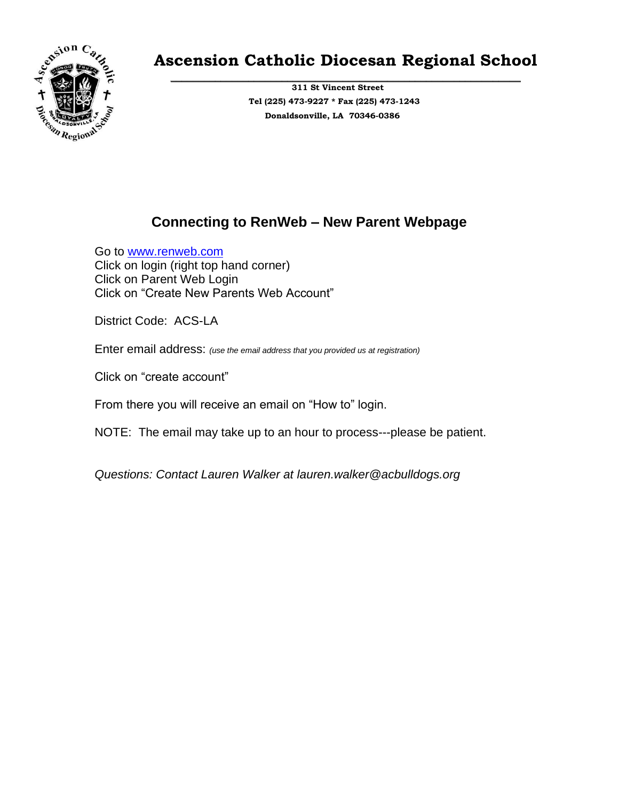

### **Ascension Catholic Diocesan Regional School**

**\_\_\_\_\_\_\_\_\_\_\_\_\_\_\_\_\_\_\_\_\_\_\_\_\_\_\_\_\_\_\_\_\_\_\_\_\_\_\_\_\_\_\_\_\_\_\_\_\_\_\_\_\_\_\_\_\_\_\_\_\_\_\_ 311 St Vincent Street Tel (225) 473-9227 \* Fax (225) 473-1243 Donaldsonville, LA 70346-0386**

### **Connecting to RenWeb – New Parent Webpage**

Go to [www.renweb.com](http://www.renweb.com/) Click on login (right top hand corner) Click on Parent Web Login Click on "Create New Parents Web Account"

District Code: ACS-LA

Enter email address: *(use the email address that you provided us at registration)*

Click on "create account"

From there you will receive an email on "How to" login.

NOTE: The email may take up to an hour to process---please be patient.

*Questions: Contact Lauren Walker at lauren.walker@acbulldogs.org*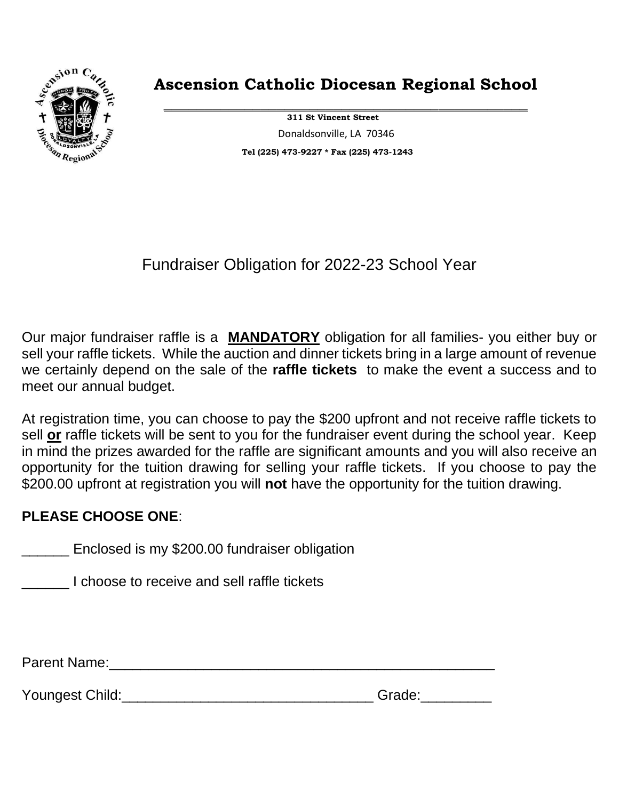

### **Ascension Catholic Diocesan Regional School**

**\_\_\_\_\_\_\_\_\_\_\_\_\_\_\_\_\_\_\_\_\_\_\_\_\_\_\_\_\_\_\_\_\_\_\_\_\_\_\_\_\_\_\_\_\_ 311 St Vincent Street** Donaldsonville, LA 70346 **Tel (225) 473-9227 \* Fax (225) 473-1243**

Fundraiser Obligation for 2022-23 School Year

Our major fundraiser raffle is a **MANDATORY** obligation for all families- you either buy or sell your raffle tickets. While the auction and dinner tickets bring in a large amount of revenue we certainly depend on the sale of the **raffle tickets** to make the event a success and to meet our annual budget.

At registration time, you can choose to pay the \$200 upfront and not receive raffle tickets to sell **or** raffle tickets will be sent to you for the fundraiser event during the school year. Keep in mind the prizes awarded for the raffle are significant amounts and you will also receive an opportunity for the tuition drawing for selling your raffle tickets. If you choose to pay the \$200.00 upfront at registration you will **not** have the opportunity for the tuition drawing.

### **PLEASE CHOOSE ONE**:

**Enclosed is my \$200.00 fundraiser obligation** 

\_\_\_\_\_\_ I choose to receive and sell raffle tickets

Parent Name:\_\_\_\_\_\_\_\_\_\_\_\_\_\_\_\_\_\_\_\_\_\_\_\_\_\_\_\_\_\_\_\_\_\_\_\_\_\_\_\_\_\_\_\_\_\_\_\_\_

Youngest Child:\_\_\_\_\_\_\_\_\_\_\_\_\_\_\_\_\_\_\_\_\_\_\_\_\_\_\_\_\_\_\_\_ Grade:\_\_\_\_\_\_\_\_\_